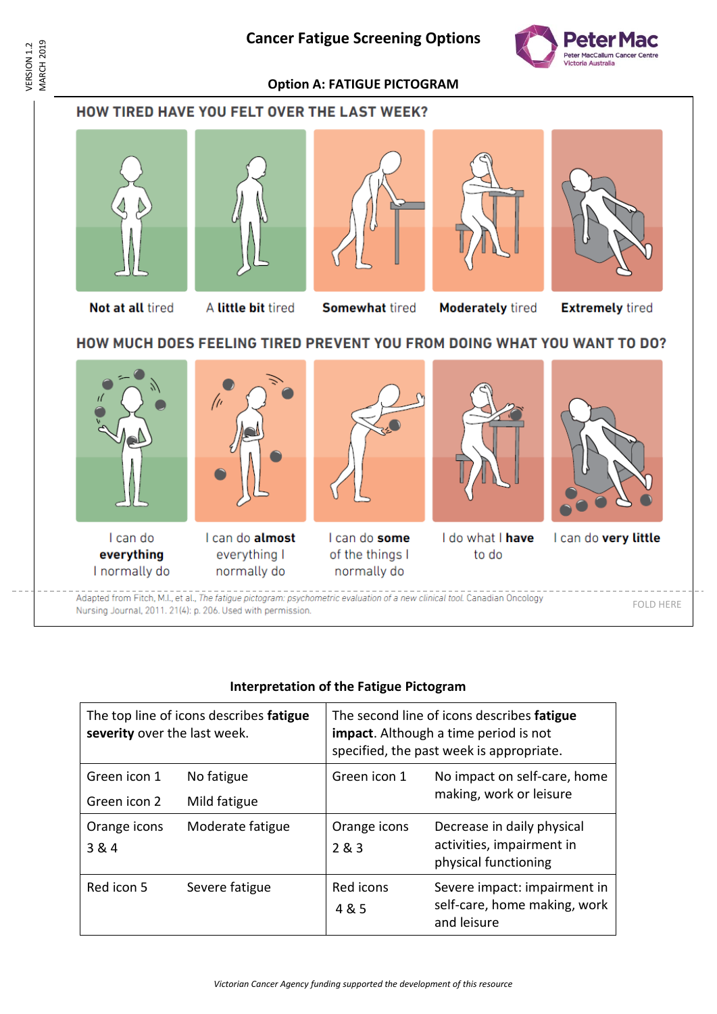## **Cancer Fatigue Screening Options**



**Option A: FATIGUE PICTOGRAM**













Not at all tired

A little bit tired

**Somewhat tired** 

**Moderately tired** 

**Extremely tired** 

## HOW MUCH DOES FEELING TIRED PREVENT YOU FROM DOING WHAT YOU WANT TO DO?



# **Interpretation of the Fatigue Pictogram**

| The top line of icons describes fatigue<br>severity over the last week. |                            | The second line of icons describes fatigue<br><b>impact</b> . Although a time period is not<br>specified, the past week is appropriate. |                                                                                 |
|-------------------------------------------------------------------------|----------------------------|-----------------------------------------------------------------------------------------------------------------------------------------|---------------------------------------------------------------------------------|
| Green icon 1<br>Green icon 2                                            | No fatigue<br>Mild fatigue | Green icon 1                                                                                                                            | No impact on self-care, home<br>making, work or leisure                         |
| Orange icons<br>3 & 4                                                   | Moderate fatigue           | Orange icons<br>2 & 3                                                                                                                   | Decrease in daily physical<br>activities, impairment in<br>physical functioning |
| Red icon 5                                                              | Severe fatigue             | Red icons<br>4 & 5                                                                                                                      | Severe impact: impairment in<br>self-care, home making, work<br>and leisure     |